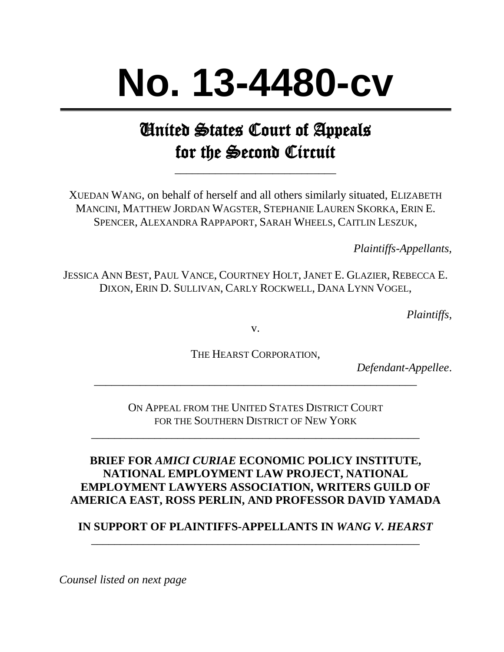# **No. 13-4480-cv**

## United States Court of Appeals for the Second Circuit

\_\_\_\_\_\_\_\_\_\_\_\_\_\_\_\_\_\_\_\_\_\_\_\_\_\_\_\_

XUEDAN WANG, on behalf of herself and all others similarly situated, ELIZABETH MANCINI, MATTHEW JORDAN WAGSTER, STEPHANIE LAUREN SKORKA, ERIN E. SPENCER, ALEXANDRA RAPPAPORT, SARAH WHEELS, CAITLIN LESZUK,

*Plaintiffs-Appellants,*

JESSICA ANN BEST, PAUL VANCE, COURTNEY HOLT,JANET E. GLAZIER, REBECCA E. DIXON, ERIN D. SULLIVAN, CARLY ROCKWELL, DANA LYNN VOGEL,

*Plaintiffs,*

v.

THE HEARST CORPORATION,

\_\_\_\_\_\_\_\_\_\_\_\_\_\_\_\_\_\_\_\_\_\_\_\_\_\_\_\_\_\_\_\_\_\_\_\_\_\_\_\_\_\_\_\_\_\_\_\_\_\_\_\_\_\_\_\_

*Defendant-Appellee*.

ON APPEAL FROM THE UNITED STATES DISTRICT COURT FOR THE SOUTHERN DISTRICT OF NEW YORK

\_\_\_\_\_\_\_\_\_\_\_\_\_\_\_\_\_\_\_\_\_\_\_\_\_\_\_\_\_\_\_\_\_\_\_\_\_\_\_\_\_\_\_\_\_\_\_\_\_\_\_\_\_\_\_\_\_

### **BRIEF FOR** *AMICI CURIAE* **ECONOMIC POLICY INSTITUTE, NATIONAL EMPLOYMENT LAW PROJECT, NATIONAL EMPLOYMENT LAWYERS ASSOCIATION, WRITERS GUILD OF AMERICA EAST, ROSS PERLIN, AND PROFESSOR DAVID YAMADA**

#### **IN SUPPORT OF PLAINTIFFS-APPELLANTS IN** *WANG V. HEARST* \_\_\_\_\_\_\_\_\_\_\_\_\_\_\_\_\_\_\_\_\_\_\_\_\_\_\_\_\_\_\_\_\_\_\_\_\_\_\_\_\_\_\_\_\_\_\_\_\_\_\_\_\_\_\_\_\_

*Counsel listed on next page*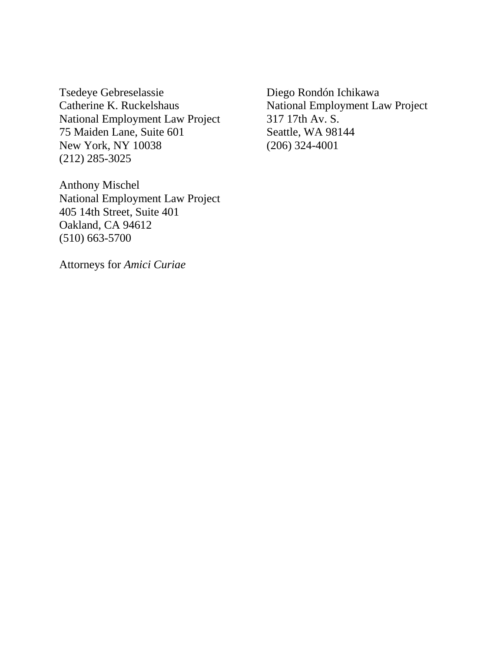Tsedeye Gebreselassie Diego Rondón Ichikawa Catherine K. Ruckelshaus National Employment Law Project National Employment Law Project 317 17th Av. S. 75 Maiden Lane, Suite 601 Seattle, WA 98144 New York, NY 10038 (206) 324-4001 (212) 285-3025

Anthony Mischel National Employment Law Project 405 14th Street, Suite 401 Oakland, CA 94612 (510) 663-5700

Attorneys for *Amici Curiae*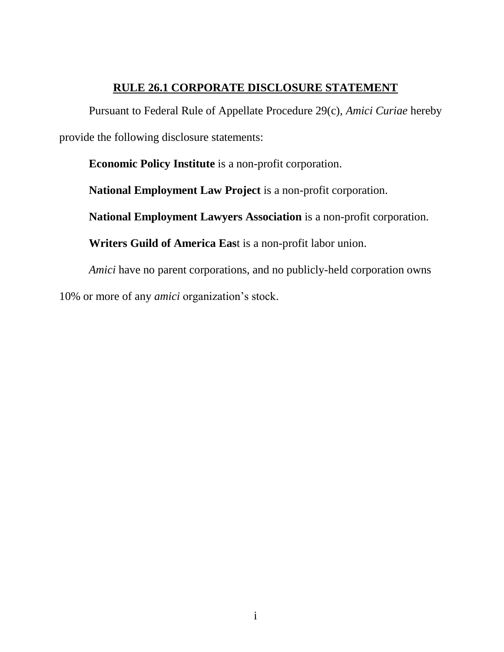#### **RULE 26.1 CORPORATE DISCLOSURE STATEMENT**

<span id="page-2-0"></span>Pursuant to Federal Rule of Appellate Procedure 29(c), *Amici Curiae* hereby provide the following disclosure statements:

**Economic Policy Institute** is a non-profit corporation.

**National Employment Law Project** is a non-profit corporation.

**National Employment Lawyers Association** is a non-profit corporation.

**Writers Guild of America Eas**t is a non-profit labor union.

*Amici* have no parent corporations, and no publicly-held corporation owns 10% or more of any *amici* organization's stock.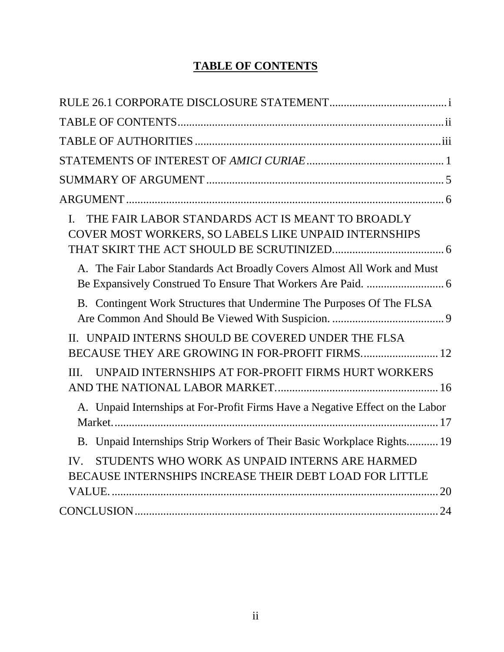## **TABLE OF CONTENTS**

<span id="page-3-0"></span>

| THE FAIR LABOR STANDARDS ACT IS MEANT TO BROADLY<br>$\mathbf{I}$ .<br>COVER MOST WORKERS, SO LABELS LIKE UNPAID INTERNSHIPS |
|-----------------------------------------------------------------------------------------------------------------------------|
| A. The Fair Labor Standards Act Broadly Covers Almost All Work and Must                                                     |
| B. Contingent Work Structures that Undermine The Purposes Of The FLSA                                                       |
| II. UNPAID INTERNS SHOULD BE COVERED UNDER THE FLSA<br>BECAUSE THEY ARE GROWING IN FOR-PROFIT FIRMS 12                      |
| UNPAID INTERNSHIPS AT FOR-PROFIT FIRMS HURT WORKERS<br>III.                                                                 |
| A. Unpaid Internships at For-Profit Firms Have a Negative Effect on the Labor                                               |
| B. Unpaid Internships Strip Workers of Their Basic Workplace Rights 19                                                      |
| STUDENTS WHO WORK AS UNPAID INTERNS ARE HARMED<br>IV.<br>BECAUSE INTERNSHIPS INCREASE THEIR DEBT LOAD FOR LITTLE            |
|                                                                                                                             |
|                                                                                                                             |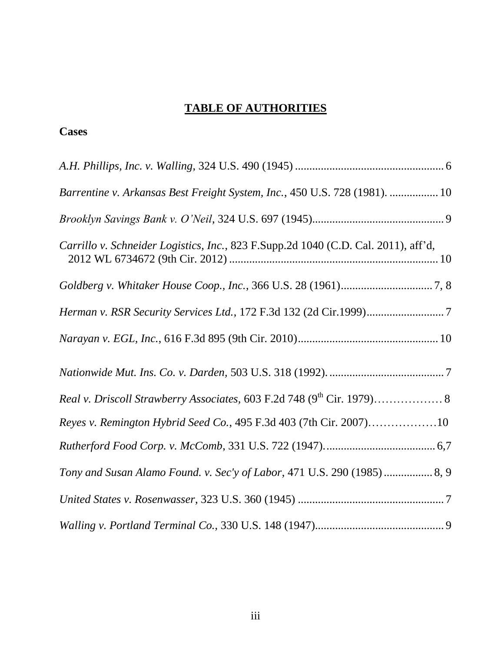## **TABLE OF AUTHORITIES**

#### <span id="page-4-0"></span>**Cases**

| Barrentine v. Arkansas Best Freight System, Inc., 450 U.S. 728 (1981).  10         |
|------------------------------------------------------------------------------------|
|                                                                                    |
| Carrillo v. Schneider Logistics, Inc., 823 F.Supp.2d 1040 (C.D. Cal. 2011), aff'd, |
|                                                                                    |
|                                                                                    |
|                                                                                    |
|                                                                                    |
|                                                                                    |
| Reyes v. Remington Hybrid Seed Co., 495 F.3d 403 (7th Cir. 2007)10                 |
|                                                                                    |
| Tony and Susan Alamo Found. v. Sec'y of Labor, 471 U.S. 290 (1985)  8, 9           |
|                                                                                    |
|                                                                                    |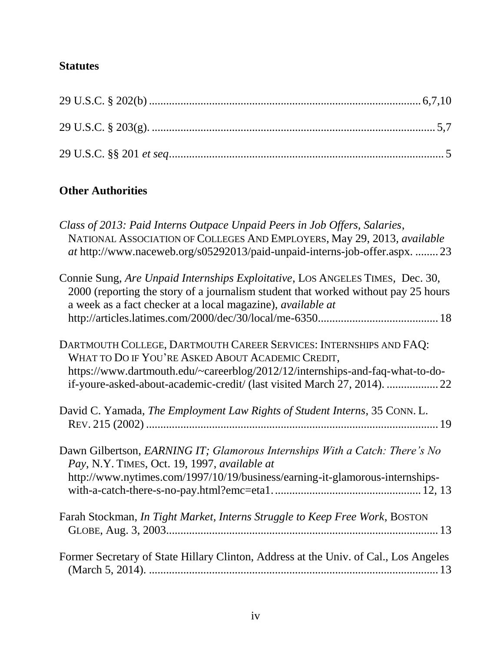## **Statutes**

## **Other Authorities**

| Class of 2013: Paid Interns Outpace Unpaid Peers in Job Offers, Salaries,<br>NATIONAL ASSOCIATION OF COLLEGES AND EMPLOYERS, May 29, 2013, available<br>at http://www.naceweb.org/s05292013/paid-unpaid-interns-job-offer.aspx.  23                                                  |
|--------------------------------------------------------------------------------------------------------------------------------------------------------------------------------------------------------------------------------------------------------------------------------------|
| Connie Sung, Are Unpaid Internships Exploitative, LOS ANGELES TIMES, Dec. 30,<br>2000 (reporting the story of a journalism student that worked without pay 25 hours<br>a week as a fact checker at a local magazine), <i>available at</i>                                            |
| DARTMOUTH COLLEGE, DARTMOUTH CAREER SERVICES: INTERNSHIPS AND FAQ:<br>WHAT TO DO IF YOU'RE ASKED ABOUT ACADEMIC CREDIT,<br>https://www.dartmouth.edu/~careerblog/2012/12/internships-and-faq-what-to-do-<br>if-youre-asked-about-academic-credit/ (last visited March 27, 2014).  22 |
| David C. Yamada, The Employment Law Rights of Student Interns, 35 CONN. L.                                                                                                                                                                                                           |
| Dawn Gilbertson, EARNING IT; Glamorous Internships With a Catch: There's No<br>Pay, N.Y. TIMES, Oct. 19, 1997, available at<br>http://www.nytimes.com/1997/10/19/business/earning-it-glamorous-internships-                                                                          |
| Farah Stockman, In Tight Market, Interns Struggle to Keep Free Work, BOSTON                                                                                                                                                                                                          |
| Former Secretary of State Hillary Clinton, Address at the Univ. of Cal., Los Angeles                                                                                                                                                                                                 |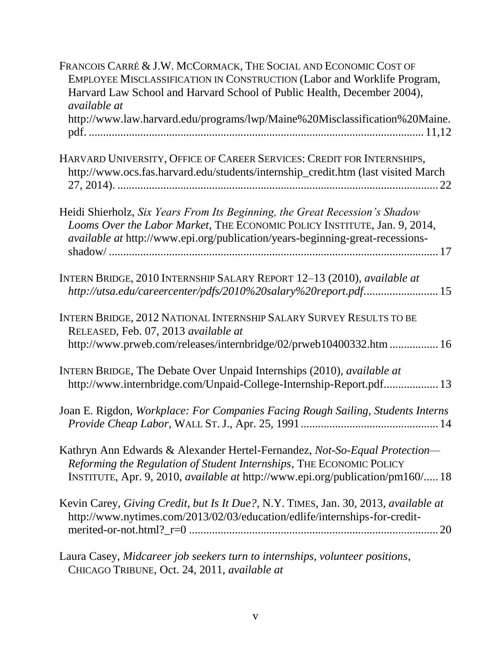| FRANCOIS CARRÉ & J.W. MCCORMACK, THE SOCIAL AND ECONOMIC COST OF<br>EMPLOYEE MISCLASSIFICATION IN CONSTRUCTION (Labor and Worklife Program,<br>Harvard Law School and Harvard School of Public Health, December 2004),<br><i>available at</i><br>http://www.law.harvard.edu/programs/lwp/Maine%20Misclassification%20Maine. |
|-----------------------------------------------------------------------------------------------------------------------------------------------------------------------------------------------------------------------------------------------------------------------------------------------------------------------------|
| HARVARD UNIVERSITY, OFFICE OF CAREER SERVICES: CREDIT FOR INTERNSHIPS,<br>http://www.ocs.fas.harvard.edu/students/internship_credit.htm (last visited March                                                                                                                                                                 |
| Heidi Shierholz, Six Years From Its Beginning, the Great Recession's Shadow<br>Looms Over the Labor Market, THE ECONOMIC POLICY INSTITUTE, Jan. 9, 2014,<br><i>available at http://www.epi.org/publication/years-beginning-great-recessions-</i>                                                                            |
| INTERN BRIDGE, 2010 INTERNSHIP SALARY REPORT 12-13 (2010), available at<br>http://utsa.edu/careercenter/pdfs/2010%20salary%20report.pdf 15                                                                                                                                                                                  |
| INTERN BRIDGE, 2012 NATIONAL INTERNSHIP SALARY SURVEY RESULTS TO BE<br>RELEASED, Feb. 07, 2013 available at<br>http://www.prweb.com/releases/internbridge/02/prweb10400332.htm  16                                                                                                                                          |
| INTERN BRIDGE, The Debate Over Unpaid Internships (2010), available at<br>http://www.internbridge.com/Unpaid-College-Internship-Report.pdf 13                                                                                                                                                                               |
| Joan E. Rigdon, Workplace: For Companies Facing Rough Sailing, Students Interns                                                                                                                                                                                                                                             |
| Kathryn Ann Edwards & Alexander Hertel-Fernandez, Not-So-Equal Protection-<br>Reforming the Regulation of Student Internships, THE ECONOMIC POLICY<br>INSTITUTE, Apr. 9, 2010, <i>available at http://www.epi.org/publication/pm160/</i> 18                                                                                 |
| Kevin Carey, Giving Credit, but Is It Due?, N.Y. TIMES, Jan. 30, 2013, available at<br>http://www.nytimes.com/2013/02/03/education/edlife/internships-for-credit-                                                                                                                                                           |
| Leure Cesay Midagreer ich seekers turn to internskips volunteer positions                                                                                                                                                                                                                                                   |

Laura Casey, *Midcareer job seekers turn to internships, volunteer positions*, CHICAGO TRIBUNE, Oct. 24, 2011, *available at*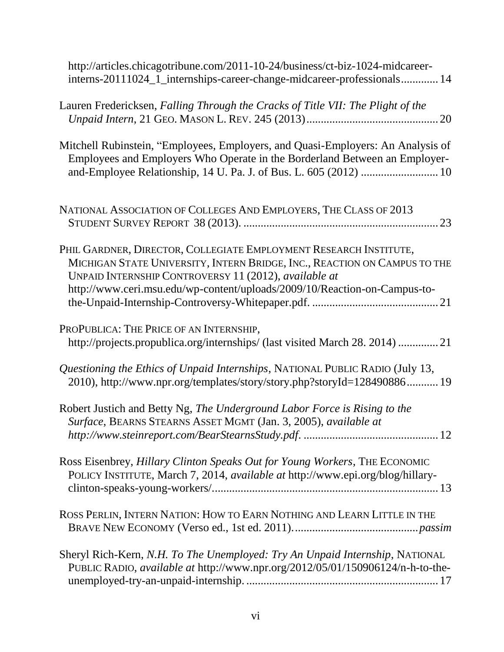| http://articles.chicagotribune.com/2011-10-24/business/ct-biz-1024-midcareer-<br>interns-20111024_1_internships-career-change-midcareer-professionals 14                                                                                                                             |
|--------------------------------------------------------------------------------------------------------------------------------------------------------------------------------------------------------------------------------------------------------------------------------------|
| Lauren Fredericksen, Falling Through the Cracks of Title VII: The Plight of the                                                                                                                                                                                                      |
| Mitchell Rubinstein, "Employees, Employers, and Quasi-Employers: An Analysis of<br>Employees and Employers Who Operate in the Borderland Between an Employer-                                                                                                                        |
| NATIONAL ASSOCIATION OF COLLEGES AND EMPLOYERS, THE CLASS OF 2013                                                                                                                                                                                                                    |
| PHIL GARDNER, DIRECTOR, COLLEGIATE EMPLOYMENT RESEARCH INSTITUTE,<br>MICHIGAN STATE UNIVERSITY, INTERN BRIDGE, INC., REACTION ON CAMPUS TO THE<br>UNPAID INTERNSHIP CONTROVERSY 11 (2012), available at<br>http://www.ceri.msu.edu/wp-content/uploads/2009/10/Reaction-on-Campus-to- |
| PROPUBLICA: THE PRICE OF AN INTERNSHIP,<br>http://projects.propublica.org/internships/ (last visited March 28. 2014)  21                                                                                                                                                             |
| Questioning the Ethics of Unpaid Internships, NATIONAL PUBLIC RADIO (July 13,<br>2010), http://www.npr.org/templates/story/story.php?storyId=128490886 19                                                                                                                            |
| Robert Justich and Betty Ng, The Underground Labor Force is Rising to the<br>Surface, BEARNS STEARNS ASSET MGMT (Jan. 3, 2005), available at                                                                                                                                         |
| Ross Eisenbrey, Hillary Clinton Speaks Out for Young Workers, THE ECONOMIC<br>POLICY INSTITUTE, March 7, 2014, available at http://www.epi.org/blog/hillary-                                                                                                                         |
| ROSS PERLIN, INTERN NATION: HOW TO EARN NOTHING AND LEARN LITTLE IN THE                                                                                                                                                                                                              |
| Sheryl Rich-Kern, N.H. To The Unemployed: Try An Unpaid Internship, NATIONAL<br>PUBLIC RADIO, available at http://www.npr.org/2012/05/01/150906124/n-h-to-the-                                                                                                                       |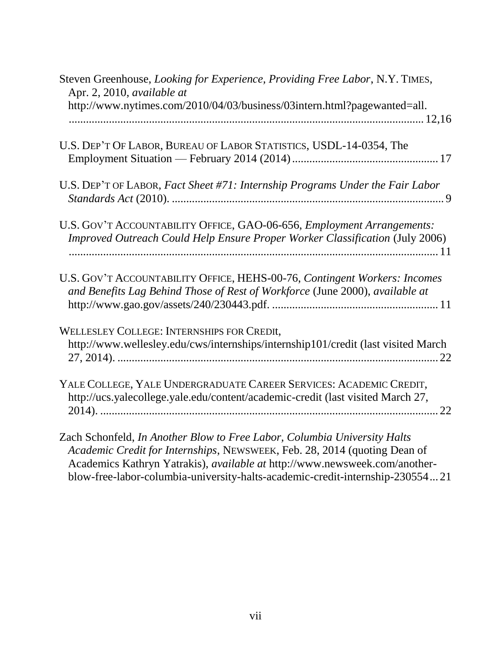| Steven Greenhouse, Looking for Experience, Providing Free Labor, N.Y. TIMES,<br>Apr. 2, 2010, available at                                                                                                                                                                                                           |
|----------------------------------------------------------------------------------------------------------------------------------------------------------------------------------------------------------------------------------------------------------------------------------------------------------------------|
| http://www.nytimes.com/2010/04/03/business/03intern.html?pagewanted=all.                                                                                                                                                                                                                                             |
| U.S. DEP'T OF LABOR, BUREAU OF LABOR STATISTICS, USDL-14-0354, The                                                                                                                                                                                                                                                   |
| U.S. DEP'T OF LABOR, Fact Sheet #71: Internship Programs Under the Fair Labor                                                                                                                                                                                                                                        |
| U.S. GOV'T ACCOUNTABILITY OFFICE, GAO-06-656, Employment Arrangements:<br>Improved Outreach Could Help Ensure Proper Worker Classification (July 2006)                                                                                                                                                               |
| U.S. GOV'T ACCOUNTABILITY OFFICE, HEHS-00-76, Contingent Workers: Incomes<br>and Benefits Lag Behind Those of Rest of Workforce (June 2000), available at                                                                                                                                                            |
| WELLESLEY COLLEGE: INTERNSHIPS FOR CREDIt,<br>http://www.wellesley.edu/cws/internships/internship101/credit (last visited March                                                                                                                                                                                      |
| YALE COLLEGE, YALE UNDERGRADUATE CAREER SERVICES: ACADEMIC CREDIT,<br>http://ucs.yalecollege.yale.edu/content/academic-credit (last visited March 27,                                                                                                                                                                |
| Zach Schonfeld, In Another Blow to Free Labor, Columbia University Halts<br>Academic Credit for Internships, NEWSWEEK, Feb. 28, 2014 (quoting Dean of<br>Academics Kathryn Yatrakis), available at http://www.newsweek.com/another-<br>blow-free-labor-columbia-university-halts-academic-credit-internship-23055421 |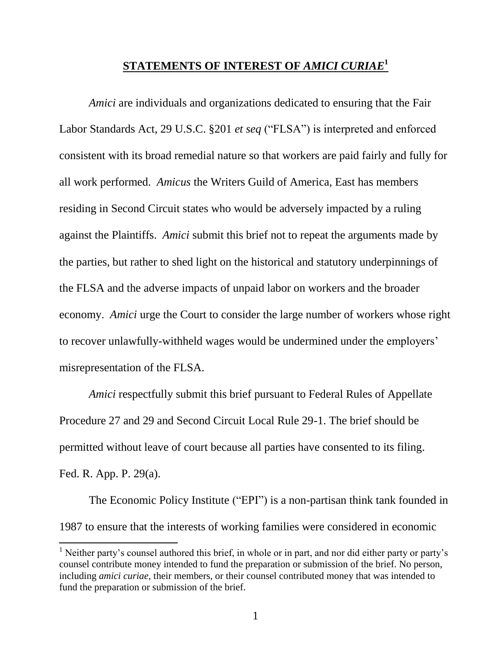#### **STATEMENTS OF INTEREST OF** *AMICI CURIAE***<sup>1</sup>**

<span id="page-9-0"></span>*Amici* are individuals and organizations dedicated to ensuring that the Fair Labor Standards Act, 29 U.S.C. §201 *et seq* ("FLSA") is interpreted and enforced consistent with its broad remedial nature so that workers are paid fairly and fully for all work performed. *Amicus* the Writers Guild of America, East has members residing in Second Circuit states who would be adversely impacted by a ruling against the Plaintiffs. *Amici* submit this brief not to repeat the arguments made by the parties, but rather to shed light on the historical and statutory underpinnings of the FLSA and the adverse impacts of unpaid labor on workers and the broader economy. *Amici* urge the Court to consider the large number of workers whose right to recover unlawfully-withheld wages would be undermined under the employers' misrepresentation of the FLSA.

*Amici* respectfully submit this brief pursuant to Federal Rules of Appellate Procedure 27 and 29 and Second Circuit Local Rule 29-1. The brief should be permitted without leave of court because all parties have consented to its filing. Fed. R. App. P. 29(a).

The Economic Policy Institute ("EPI") is a non-partisan think tank founded in 1987 to ensure that the interests of working families were considered in economic

<sup>&</sup>lt;sup>1</sup> Neither party's counsel authored this brief, in whole or in part, and nor did either party or party's counsel contribute money intended to fund the preparation or submission of the brief. No person, including *amici curiae*, their members, or their counsel contributed money that was intended to fund the preparation or submission of the brief.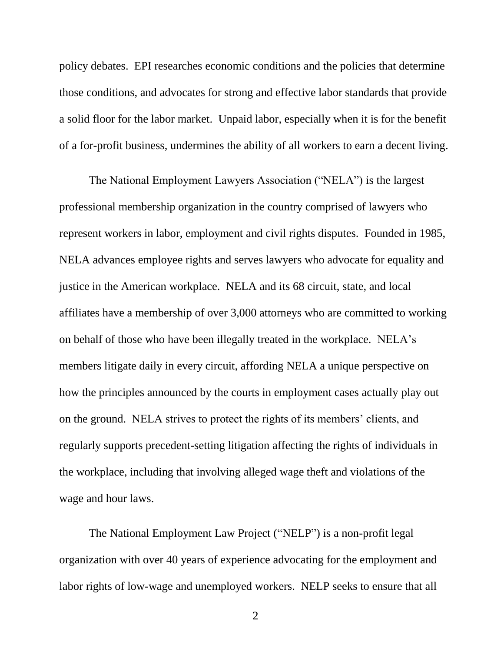policy debates. EPI researches economic conditions and the policies that determine those conditions, and advocates for strong and effective labor standards that provide a solid floor for the labor market. Unpaid labor, especially when it is for the benefit of a for-profit business, undermines the ability of all workers to earn a decent living.

The National Employment Lawyers Association ("NELA") is the largest professional membership organization in the country comprised of lawyers who represent workers in labor, employment and civil rights disputes. Founded in 1985, NELA advances employee rights and serves lawyers who advocate for equality and justice in the American workplace. NELA and its 68 circuit, state, and local affiliates have a membership of over 3,000 attorneys who are committed to working on behalf of those who have been illegally treated in the workplace. NELA's members litigate daily in every circuit, affording NELA a unique perspective on how the principles announced by the courts in employment cases actually play out on the ground. NELA strives to protect the rights of its members' clients, and regularly supports precedent-setting litigation affecting the rights of individuals in the workplace, including that involving alleged wage theft and violations of the wage and hour laws.

The National Employment Law Project ("NELP") is a non-profit legal organization with over 40 years of experience advocating for the employment and labor rights of low-wage and unemployed workers. NELP seeks to ensure that all

2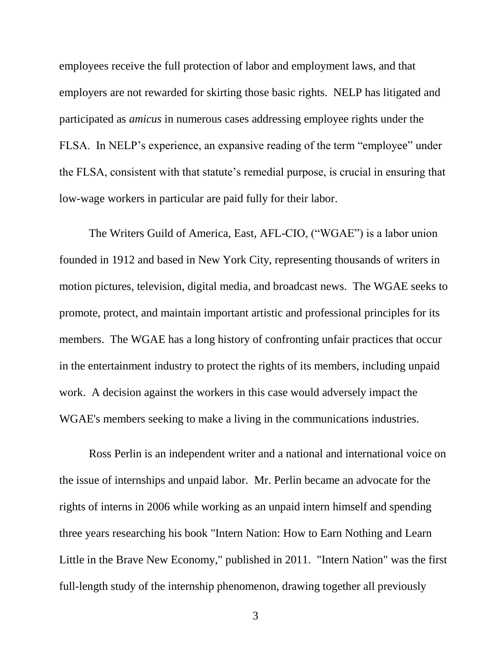employees receive the full protection of labor and employment laws, and that employers are not rewarded for skirting those basic rights. NELP has litigated and participated as *amicus* in numerous cases addressing employee rights under the FLSA. In NELP's experience, an expansive reading of the term "employee" under the FLSA, consistent with that statute's remedial purpose, is crucial in ensuring that low-wage workers in particular are paid fully for their labor.

The Writers Guild of America, East, AFL-CIO, ("WGAE") is a labor union founded in 1912 and based in New York City, representing thousands of writers in motion pictures, television, digital media, and broadcast news. The WGAE seeks to promote, protect, and maintain important artistic and professional principles for its members. The WGAE has a long history of confronting unfair practices that occur in the entertainment industry to protect the rights of its members, including unpaid work. A decision against the workers in this case would adversely impact the WGAE's members seeking to make a living in the communications industries.

Ross Perlin is an independent writer and a national and international voice on the issue of internships and unpaid labor. Mr. Perlin became an advocate for the rights of interns in 2006 while working as an unpaid intern himself and spending three years researching his book "Intern Nation: How to Earn Nothing and Learn Little in the Brave New Economy," published in 2011. "Intern Nation" was the first full-length study of the internship phenomenon, drawing together all previously

3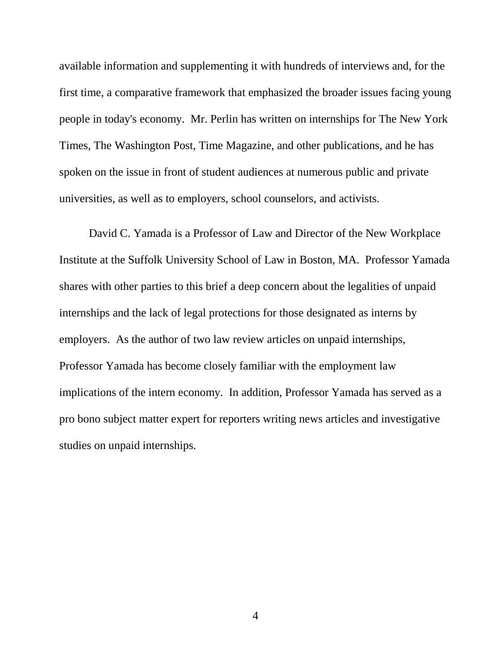available information and supplementing it with hundreds of interviews and, for the first time, a comparative framework that emphasized the broader issues facing young people in today's economy. Mr. Perlin has written on internships for The New York Times, The Washington Post, Time Magazine, and other publications, and he has spoken on the issue in front of student audiences at numerous public and private universities, as well as to employers, school counselors, and activists.

David C. Yamada is a Professor of Law and Director of the New Workplace Institute at the Suffolk University School of Law in Boston, MA. Professor Yamada shares with other parties to this brief a deep concern about the legalities of unpaid internships and the lack of legal protections for those designated as interns by employers. As the author of two law review articles on unpaid internships, Professor Yamada has become closely familiar with the employment law implications of the intern economy. In addition, Professor Yamada has served as a pro bono subject matter expert for reporters writing news articles and investigative studies on unpaid internships.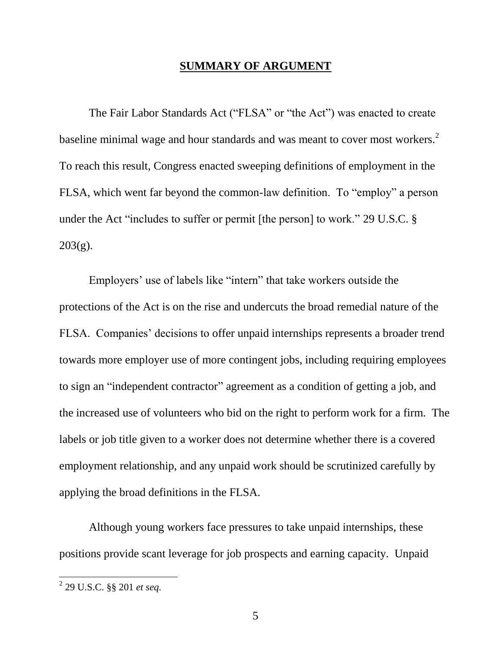#### **SUMMARY OF ARGUMENT**

<span id="page-13-0"></span>The Fair Labor Standards Act ("FLSA" or "the Act") was enacted to create baseline minimal wage and hour standards and was meant to cover most workers.<sup>2</sup> To reach this result, Congress enacted sweeping definitions of employment in the FLSA, which went far beyond the common-law definition. To "employ" a person under the Act "includes to suffer or permit [the person] to work." 29 U.S.C. § 203(g).

Employers' use of labels like "intern" that take workers outside the protections of the Act is on the rise and undercuts the broad remedial nature of the FLSA. Companies' decisions to offer unpaid internships represents a broader trend towards more employer use of more contingent jobs, including requiring employees to sign an "independent contractor" agreement as a condition of getting a job, and the increased use of volunteers who bid on the right to perform work for a firm. The labels or job title given to a worker does not determine whether there is a covered employment relationship, and any unpaid work should be scrutinized carefully by applying the broad definitions in the FLSA.

Although young workers face pressures to take unpaid internships, these positions provide scant leverage for job prospects and earning capacity. Unpaid

 2 29 U.S.C. §§ 201 *et seq*.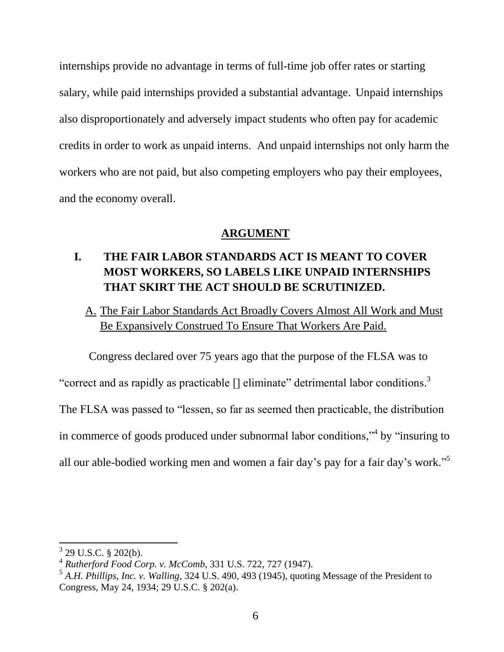internships provide no advantage in terms of full-time job offer rates or starting salary, while paid internships provided a substantial advantage. Unpaid internships also disproportionately and adversely impact students who often pay for academic credits in order to work as unpaid interns. And unpaid internships not only harm the workers who are not paid, but also competing employers who pay their employees, and the economy overall.

#### **ARGUMENT**

## <span id="page-14-1"></span><span id="page-14-0"></span>**I. THE FAIR LABOR STANDARDS ACT IS MEANT TO COVER MOST WORKERS, SO LABELS LIKE UNPAID INTERNSHIPS THAT SKIRT THE ACT SHOULD BE SCRUTINIZED.**

<span id="page-14-2"></span>A. The Fair Labor Standards Act Broadly Covers Almost All Work and Must Be Expansively Construed To Ensure That Workers Are Paid.

Congress declared over 75 years ago that the purpose of the FLSA was to

"correct and as rapidly as practicable  $\lceil \cdot \rceil$  eliminate" detrimental labor conditions.<sup>3</sup>

The FLSA was passed to "lessen, so far as seemed then practicable, the distribution

in commerce of goods produced under subnormal labor conditions,"<sup>4</sup> by "insuring to

all our able-bodied working men and women a fair day's pay for a fair day's work."<sup>5</sup>

 $3$  29 U.S.C. § 202(b).

<sup>4</sup> *Rutherford Food Corp. v. McComb*, 331 U.S. 722, 727 (1947).

<sup>5</sup> *A.H. Phillips, Inc. v. Walling*, 324 U.S. 490, 493 (1945), quoting Message of the President to Congress, May 24, 1934; 29 U.S.C. § 202(a).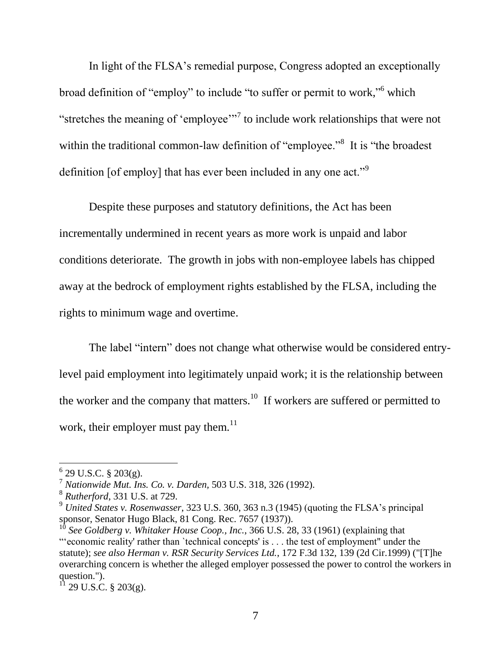In light of the FLSA's remedial purpose, Congress adopted an exceptionally broad definition of "employ" to include "to suffer or permit to work," which "stretches the meaning of 'employee'"<sup>7</sup> to include work relationships that were not within the traditional common-law definition of "employee."<sup>8</sup> It is "the broadest definition [of employ] that has ever been included in any one act."<sup>9</sup>

Despite these purposes and statutory definitions, the Act has been incrementally undermined in recent years as more work is unpaid and labor conditions deteriorate. The growth in jobs with non-employee labels has chipped away at the bedrock of employment rights established by the FLSA, including the rights to minimum wage and overtime.

The label "intern" does not change what otherwise would be considered entrylevel paid employment into legitimately unpaid work; it is the relationship between the worker and the company that matters.<sup>10</sup> If workers are suffered or permitted to work, their employer must pay them. $^{11}$ 

 6 29 U.S.C. § 203(g).

<sup>7</sup> *Nationwide Mut. Ins. Co. v. Darden,* 503 U.S. 318, 326 (1992).

<sup>8</sup> *Rutherford*, 331 U.S. at 729.

<sup>9</sup> *United States v. Rosenwasser*, 323 U.S. 360, 363 n.3 (1945) (quoting the FLSA's principal sponsor, Senator Hugo Black, 81 Cong. Rec. 7657 (1937)).

<sup>&</sup>lt;sup>10</sup> See Goldberg v. Whitaker House Coop., Inc., [366 U.S. 28,](http://www.leagle.com/get_cited/366%20U.S.%2028) 33 (1961) (explaining that "'economic reality' rather than `technical concepts' is . . . the test of employment" under the statute); *see also Herman v. RSR Security Services Ltd.*, [172 F.3d 132,](http://www.leagle.com/get_cited/172%20F.3d%20132) 139 (2d Cir.1999) ("[T]he overarching concern is whether the alleged employer possessed the power to control the workers in question.").

 $11$  29 U.S.C. § 203(g).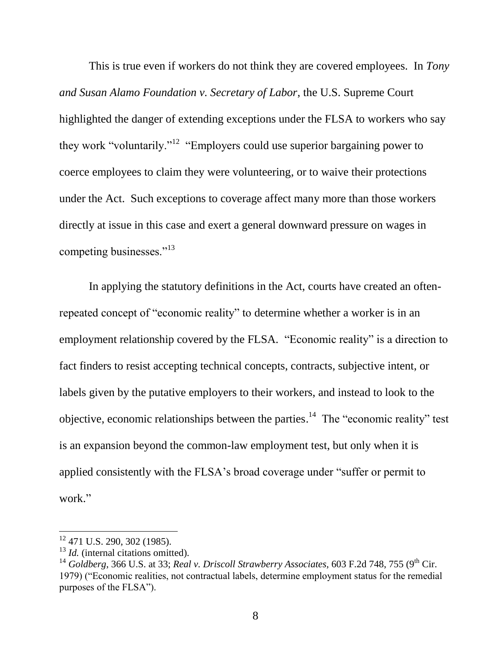This is true even if workers do not think they are covered employees. In *Tony and Susan Alamo Foundation v. Secretary of Labor*, the U.S. Supreme Court highlighted the danger of extending exceptions under the FLSA to workers who say they work "voluntarily."<sup>12</sup> "Employers could use superior bargaining power to coerce employees to claim they were volunteering, or to waive their protections under the Act. Such exceptions to coverage affect many more than those workers directly at issue in this case and exert a general downward pressure on wages in competing businesses."<sup>13</sup>

In applying the statutory definitions in the Act, courts have created an oftenrepeated concept of "economic reality" to determine whether a worker is in an employment relationship covered by the FLSA. "Economic reality" is a direction to fact finders to resist accepting technical concepts, contracts, subjective intent, or labels given by the putative employers to their workers, and instead to look to the objective, economic relationships between the parties.<sup>14</sup> The "economic reality" test is an expansion beyond the common-law employment test, but only when it is applied consistently with the FLSA's broad coverage under "suffer or permit to work."

l

 $12$  471 U.S. 290, 302 (1985).

<sup>&</sup>lt;sup>13</sup> *Id.* (internal citations omitted).

<sup>&</sup>lt;sup>14</sup> Goldberg, 366 U.S. at 33; *Real v. Driscoll Strawberry Associates,* 603 F.2d 748, 755 (9<sup>th</sup> Cir. 1979) ("Economic realities, not contractual labels, determine employment status for the remedial purposes of the FLSA").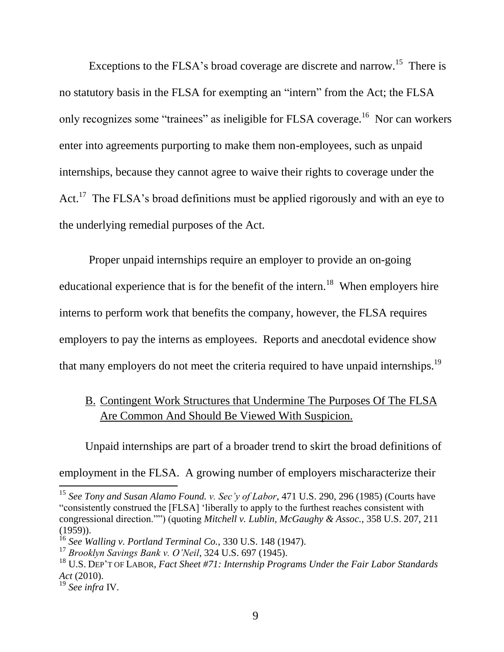Exceptions to the FLSA's broad coverage are discrete and narrow.<sup>15</sup> There is no statutory basis in the FLSA for exempting an "intern" from the Act; the FLSA only recognizes some "trainees" as ineligible for FLSA coverage.<sup>16</sup> Nor can workers enter into agreements purporting to make them non-employees, such as unpaid internships, because they cannot agree to waive their rights to coverage under the Act.<sup>17</sup> The FLSA's broad definitions must be applied rigorously and with an eye to the underlying remedial purposes of the Act.

Proper unpaid internships require an employer to provide an on-going educational experience that is for the benefit of the intern.<sup>18</sup> When employers hire interns to perform work that benefits the company, however, the FLSA requires employers to pay the interns as employees. Reports and anecdotal evidence show that many employers do not meet the criteria required to have unpaid internships.<sup>19</sup>

## <span id="page-17-0"></span>B. Contingent Work Structures that Undermine The Purposes Of The FLSA Are Common And Should Be Viewed With Suspicion.

Unpaid internships are part of a broader trend to skirt the broad definitions of employment in the FLSA. A growing number of employers mischaracterize their

<sup>15</sup> *See Tony and Susan Alamo Found. v. Sec'y of Labor*, 471 U.S. 290, 296 (1985) (Courts have "consistently construed the [FLSA] 'liberally to apply to the furthest reaches consistent with congressional direction."") (quoting *Mitchell v. Lublin, McGaughy & Assoc.*, 358 U.S. 207, 211 (1959)).

<sup>16</sup> *See Walling v. Portland Terminal Co.*, 330 U.S. 148 (1947).

<sup>17</sup> *Brooklyn Savings Bank v. O'Neil*, 324 U.S. 697 (1945).

<sup>18</sup> U.S. DEP'T OF LABOR, *Fact Sheet #71: Internship Programs Under the Fair Labor Standards Act* (2010).

<sup>19</sup> *See infra* IV.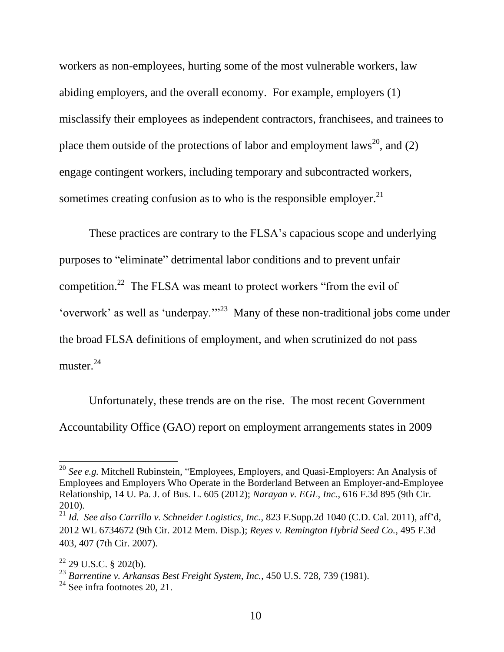workers as non-employees, hurting some of the most vulnerable workers, law abiding employers, and the overall economy. For example, employers (1) misclassify their employees as independent contractors, franchisees, and trainees to place them outside of the protections of labor and employment laws<sup>20</sup>, and (2) engage contingent workers, including temporary and subcontracted workers, sometimes creating confusion as to who is the responsible employer. $^{21}$ 

These practices are contrary to the FLSA's capacious scope and underlying purposes to "eliminate" detrimental labor conditions and to prevent unfair competition.<sup>22</sup> The FLSA was meant to protect workers "from the evil of 'overwork' as well as 'underpay.'"<sup>23</sup> Many of these non-traditional jobs come under the broad FLSA definitions of employment, and when scrutinized do not pass muster. $^{24}$ 

Unfortunately, these trends are on the rise. The most recent Government Accountability Office (GAO) report on employment arrangements states in 2009

<sup>20</sup> *See e.g.* Mitchell Rubinstein, "Employees, Employers, and Quasi-Employers: An Analysis of Employees and Employers Who Operate in the Borderland Between an Employer-and-Employee Relationship, 14 U. Pa. J. of Bus. L. 605 (2012); *Narayan v. EGL, Inc.*, 616 F.3d 895 (9th Cir. 2010).

<sup>21</sup> *Id. See also Carrillo v. Schneider Logistics, Inc.*, 823 F.Supp.2d 1040 (C.D. Cal. 2011), aff'd, 2012 WL 6734672 (9th Cir. 2012 Mem. Disp.); *Reyes v. Remington Hybrid Seed Co.*, 495 F.3d 403, 407 (7th Cir. 2007).

 $22$  29 U.S.C. § 202(b).

<sup>23</sup> *Barrentine v. Arkansas Best Freight System, Inc.*, 450 U.S. 728, 739 (1981).

 $24$  See infra footnotes 20, 21.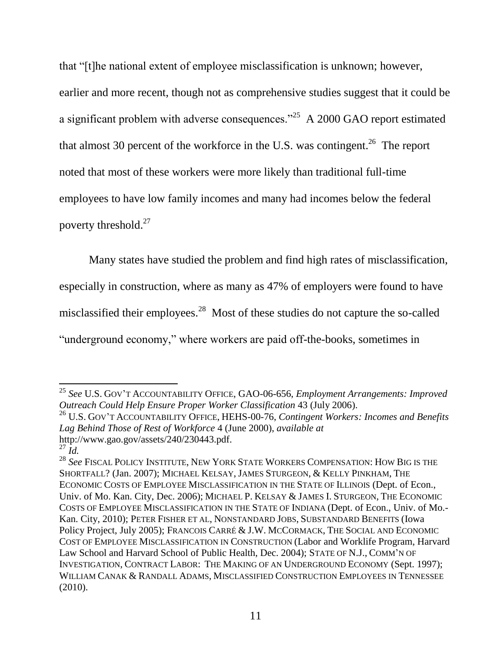that "[t]he national extent of employee misclassification is unknown; however, earlier and more recent, though not as comprehensive studies suggest that it could be a significant problem with adverse consequences."<sup>25</sup> A 2000 GAO report estimated that almost 30 percent of the workforce in the U.S. was contingent.<sup>26</sup> The report noted that most of these workers were more likely than traditional full-time employees to have low family incomes and many had incomes below the federal poverty threshold.<sup>27</sup>

Many states have studied the problem and find high rates of misclassification,

especially in construction, where as many as 47% of employers were found to have

misclassified their employees.<sup>28</sup> Most of these studies do not capture the so-called

"underground economy," where workers are paid off-the-books, sometimes in

<sup>26</sup> U.S. GOV'T ACCOUNTABILITY OFFICE, HEHS-00-76, *Contingent Workers: Incomes and Benefits Lag Behind Those of Rest of Workforce* 4 (June 2000), *available at* http://www.gao.gov/assets/240/230443.pdf.

 $\overline{\phantom{a}}$ <sup>25</sup> *See* U.S. GOV'T ACCOUNTABILITY OFFICE, GAO-06-656, *Employment Arrangements: Improved Outreach Could Help Ensure Proper Worker Classification* 43 (July 2006).

 $^{27}$   $\dot{I}$ *d*.

<sup>28</sup> *See* FISCAL POLICY INSTITUTE, NEW YORK STATE WORKERS COMPENSATION: HOW BIG IS THE SHORTFALL? (Jan. 2007); MICHAEL KELSAY, JAMES STURGEON, & KELLY PINKHAM, THE ECONOMIC COSTS OF EMPLOYEE MISCLASSIFICATION IN THE STATE OF ILLINOIS (Dept. of Econ., Univ. of Mo. Kan. City, Dec. 2006); MICHAEL P. KELSAY & JAMES I. STURGEON, THE ECONOMIC COSTS OF EMPLOYEE MISCLASSIFICATION IN THE STATE OF INDIANA (Dept. of Econ., Univ. of Mo.- Kan. City, 2010); PETER FISHER ET AL, NONSTANDARD JOBS, SUBSTANDARD BENEFITS (Iowa Policy Project, July 2005); FRANCOIS CARRÉ & J.W. MCCORMACK, THE SOCIAL AND ECONOMIC COST OF EMPLOYEE MISCLASSIFICATION IN CONSTRUCTION (Labor and Worklife Program, Harvard Law School and Harvard School of Public Health, Dec. 2004); STATE OF N.J., COMM'N OF INVESTIGATION, CONTRACT LABOR: THE MAKING OF AN UNDERGROUND ECONOMY (Sept. 1997); WILLIAM CANAK & RANDALL ADAMS, MISCLASSIFIED CONSTRUCTION EMPLOYEES IN TENNESSEE (2010).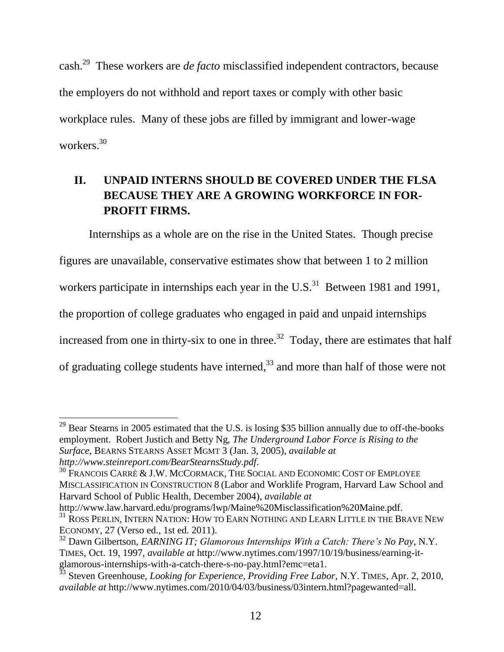cash.<sup>29</sup> These workers are *de facto* misclassified independent contractors, because the employers do not withhold and report taxes or comply with other basic workplace rules. Many of these jobs are filled by immigrant and lower-wage workers.<sup>30</sup>

## <span id="page-20-0"></span>**II. UNPAID INTERNS SHOULD BE COVERED UNDER THE FLSA BECAUSE THEY ARE A GROWING WORKFORCE IN FOR-PROFIT FIRMS.**

Internships as a whole are on the rise in the United States. Though precise figures are unavailable, conservative estimates show that between 1 to 2 million workers participate in internships each year in the U.S. $^{31}$  Between 1981 and 1991, the proportion of college graduates who engaged in paid and unpaid internships increased from one in thirty-six to one in three.<sup>32</sup> Today, there are estimates that half of graduating college students have interned,<sup>33</sup> and more than half of those were not

 $\overline{a}$ 

http://www.law.harvard.edu/programs/lwp/Maine%20Misclassification%20Maine.pdf. <sup>31</sup> ROSS PERLIN, INTERN NATION: HOW TO EARN NOTHING AND LEARN LITTLE IN THE BRAVE NEW ECONOMY, 27 (Verso ed., 1st ed. 2011).

 $29$  Bear Stearns in 2005 estimated that the U.S. is losing \$35 billion annually due to off-the-books employment. Robert Justich and Betty Ng, *The Underground Labor Force is Rising to the Surface*, BEARNS STEARNS ASSET MGMT 3 (Jan. 3, 2005), *available at http://www.steinreport.com/BearStearnsStudy.pdf*.

 $30$  Francois Carré & J.W. McCormack, The Social and Economic Cost of Employee MISCLASSIFICATION IN CONSTRUCTION 8 (Labor and Worklife Program, Harvard Law School and Harvard School of Public Health, December 2004), *available at*

<sup>32</sup> Dawn Gilbertson, *EARNING IT; Glamorous Internships With a Catch: There's No Pay*, N.Y. TIMES, Oct. 19, 1997, *available at* http://www.nytimes.com/1997/10/19/business/earning-itglamorous-internships-with-a-catch-there-s-no-pay.html?emc=eta1.

<sup>33</sup> Steven Greenhouse, *Looking for Experience, Providing Free Labor*, N.Y. TIMES, Apr. 2, 2010, *available at* http://www.nytimes.com/2010/04/03/business/03intern.html?pagewanted=all.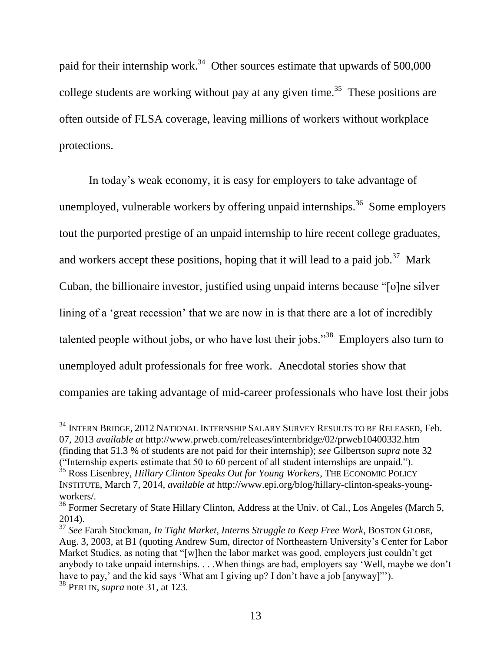paid for their internship work.<sup>34</sup> Other sources estimate that upwards of 500,000 college students are working without pay at any given time.<sup>35</sup> These positions are often outside of FLSA coverage, leaving millions of workers without workplace protections.

In today's weak economy, it is easy for employers to take advantage of unemployed, vulnerable workers by offering unpaid internships.<sup>36</sup> Some employers tout the purported prestige of an unpaid internship to hire recent college graduates, and workers accept these positions, hoping that it will lead to a paid job.<sup>37</sup> Mark Cuban, the billionaire investor, justified using unpaid interns because "[o]ne silver lining of a 'great recession' that we are now in is that there are a lot of incredibly talented people without jobs, or who have lost their jobs."<sup>38</sup> Employers also turn to unemployed adult professionals for free work. Anecdotal stories show that companies are taking advantage of mid-career professionals who have lost their jobs

 $^{34}$  Intern Bridge, 2012 National Internship Salary Survey Results to be Released, Feb. 07, 2013 *available at* http://www.prweb.com/releases/internbridge/02/prweb10400332.htm (finding that 51.3 % of students are not paid for their internship); *see* Gilbertson *supra* note 32 ("Internship experts estimate that 50 to 60 percent of all student internships are unpaid."). <sup>35</sup> Ross Eisenbrey, *Hillary Clinton Speaks Out for Young Workers*, THE ECONOMIC POLICY INSTITUTE, March 7, 2014, *available at* http://www.epi.org/blog/hillary-clinton-speaks-youngworkers/.

<sup>&</sup>lt;sup>36</sup> Former Secretary of State Hillary Clinton, Address at the Univ. of Cal., Los Angeles (March 5, 2014).

<sup>37</sup> *See* Farah Stockman, *In Tight Market, Interns Struggle to Keep Free Work*, BOSTON GLOBE, Aug. 3, 2003, at B1 (quoting Andrew Sum, director of Northeastern University's Center for Labor Market Studies, as noting that "[w]hen the labor market was good, employers just couldn't get anybody to take unpaid internships. . . .When things are bad, employers say 'Well, maybe we don't have to pay,' and the kid says 'What am I giving up? I don't have a job [anyway]"'). <sup>38</sup> PERLIN, s*upra* note 31, at 123.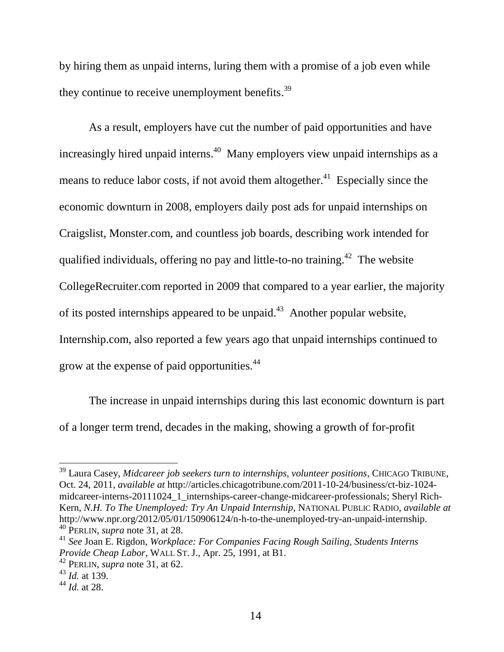by hiring them as unpaid interns, luring them with a promise of a job even while they continue to receive unemployment benefits.<sup>39</sup>

As a result, employers have cut the number of paid opportunities and have increasingly hired unpaid interns.<sup>40</sup> Many employers view unpaid internships as a means to reduce labor costs, if not avoid them altogether.<sup>41</sup> Especially since the economic downturn in 2008, employers daily post ads for unpaid internships on Craigslist, Monster.com, and countless job boards, describing work intended for qualified individuals, offering no pay and little-to-no training.<sup>42</sup> The website CollegeRecruiter.com reported in 2009 that compared to a year earlier, the majority of its posted internships appeared to be unpaid.<sup>43</sup> Another popular website, Internship.com, also reported a few years ago that unpaid internships continued to grow at the expense of paid opportunities.<sup>44</sup>

The increase in unpaid internships during this last economic downturn is part of a longer term trend, decades in the making, showing a growth of for-profit

l

<sup>39</sup> Laura Casey, *Midcareer job seekers turn to internships, volunteer positions*, CHICAGO TRIBUNE, Oct. 24, 2011, *available at* http://articles.chicagotribune.com/2011-10-24/business/ct-biz-1024 midcareer-interns-20111024\_1\_internships-career-change-midcareer-professionals; Sheryl Rich-Kern, *N.H. To The Unemployed: Try An Unpaid Internship*, NATIONAL PUBLIC RADIO, *available at* http://www.npr.org/2012/05/01/150906124/n-h-to-the-unemployed-try-an-unpaid-internship. <sup>40</sup> PERLIN, *supra* note 31, at 28.

<sup>41</sup> *See* Joan E. Rigdon, *Workplace: For Companies Facing Rough Sailing, Students Interns Provide Cheap Labor*, WALL ST. J., Apr. 25, 1991, at B1.

<sup>42</sup> PERLIN, *supra* note 31, at 62.

<sup>43</sup> *Id.* at 139.

<sup>44</sup> *Id.* at 28.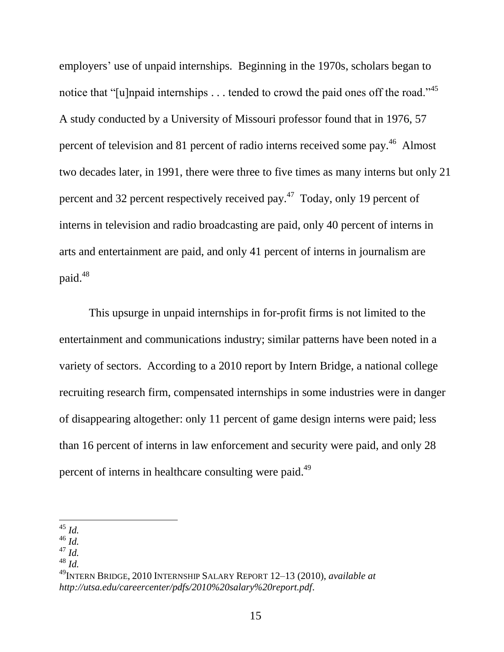employers' use of unpaid internships. Beginning in the 1970s, scholars began to notice that "[u]npaid internships  $\dots$  tended to crowd the paid ones off the road."<sup>45</sup> A study conducted by a University of Missouri professor found that in 1976, 57 percent of television and 81 percent of radio interns received some pay.<sup>46</sup> Almost two decades later, in 1991, there were three to five times as many interns but only 21 percent and 32 percent respectively received pay.<sup>47</sup> Today, only 19 percent of interns in television and radio broadcasting are paid, only 40 percent of interns in arts and entertainment are paid, and only 41 percent of interns in journalism are paid.<sup>48</sup>

This upsurge in unpaid internships in for-profit firms is not limited to the entertainment and communications industry; similar patterns have been noted in a variety of sectors. According to a 2010 report by Intern Bridge, a national college recruiting research firm, compensated internships in some industries were in danger of disappearing altogether: only 11 percent of game design interns were paid; less than 16 percent of interns in law enforcement and security were paid, and only 28 percent of interns in healthcare consulting were paid.<sup>49</sup>

 $\overline{\phantom{a}}$ <sup>45</sup> *Id.*

<sup>46</sup> *Id.*

<sup>47</sup> *Id.*

<sup>48</sup> *Id.*

<sup>49</sup>INTERN BRIDGE, 2010 INTERNSHIP SALARY REPORT 12–13 (2010), *available at http://utsa.edu/careercenter/pdfs/2010%20salary%20report.pdf*.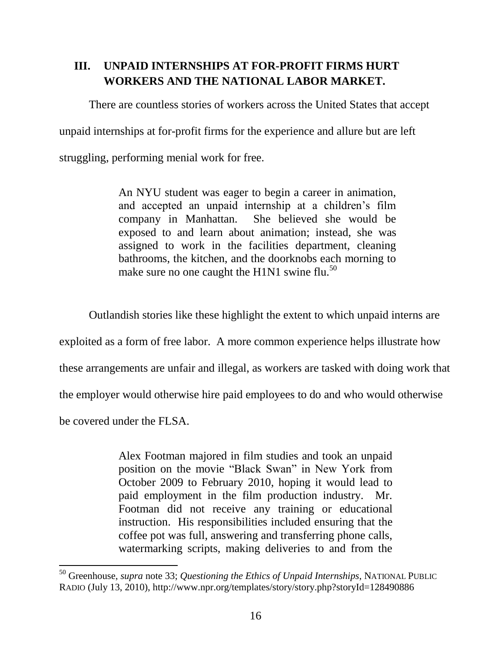## <span id="page-24-0"></span>**III. UNPAID INTERNSHIPS AT FOR-PROFIT FIRMS HURT WORKERS AND THE NATIONAL LABOR MARKET.**

There are countless stories of workers across the United States that accept

unpaid internships at for-profit firms for the experience and allure but are left

struggling, performing menial work for free.

An NYU student was eager to begin a career in animation, and accepted an unpaid internship at a children's film company in Manhattan. She believed she would be exposed to and learn about animation; instead, she was assigned to work in the facilities department, cleaning bathrooms, the kitchen, and the doorknobs each morning to make sure no one caught the H1N1 swine flu.<sup>50</sup>

Outlandish stories like these highlight the extent to which unpaid interns are

exploited as a form of free labor. A more common experience helps illustrate how

these arrangements are unfair and illegal, as workers are tasked with doing work that

the employer would otherwise hire paid employees to do and who would otherwise

be covered under the FLSA.

 $\overline{\phantom{a}}$ 

Alex Footman majored in film studies and took an unpaid position on the movie "Black Swan" in New York from October 2009 to February 2010, hoping it would lead to paid employment in the film production industry. Mr. Footman did not receive any training or educational instruction. His responsibilities included ensuring that the coffee pot was full, answering and transferring phone calls, watermarking scripts, making deliveries to and from the

<sup>50</sup> Greenhouse, *supra* note 33; *Questioning the Ethics of Unpaid Internships*, NATIONAL PUBLIC RADIO (July 13, 2010), http://www.npr.org/templates/story/story.php?storyId=128490886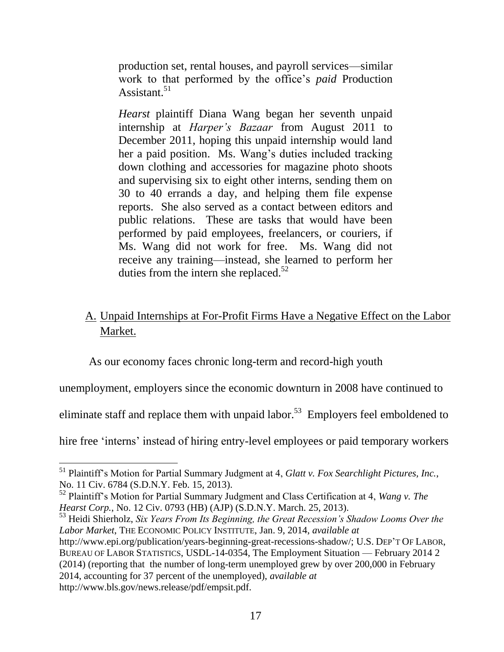production set, rental houses, and payroll services—similar work to that performed by the office's *paid* Production Assistant.<sup>51</sup>

*Hearst* plaintiff Diana Wang began her seventh unpaid internship at *Harper's Bazaar* from August 2011 to December 2011, hoping this unpaid internship would land her a paid position. Ms. Wang's duties included tracking down clothing and accessories for magazine photo shoots and supervising six to eight other interns, sending them on 30 to 40 errands a day, and helping them file expense reports. She also served as a contact between editors and public relations. These are tasks that would have been performed by paid employees, freelancers, or couriers, if Ms. Wang did not work for free. Ms. Wang did not receive any training—instead, she learned to perform her duties from the intern she replaced.<sup>52</sup>

## <span id="page-25-0"></span>A. Unpaid Internships at For-Profit Firms Have a Negative Effect on the Labor Market.

As our economy faces chronic long-term and record-high youth

unemployment, employers since the economic downturn in 2008 have continued to

eliminate staff and replace them with unpaid labor.<sup>53</sup> Employers feel emboldened to

hire free 'interns' instead of hiring entry-level employees or paid temporary workers

l

<sup>53</sup> Heidi Shierholz, *Six Years From Its Beginning, the Great Recession's Shadow Looms Over the Labor Market*, THE ECONOMIC POLICY INSTITUTE, Jan. 9, 2014, *available at* http://www.epi.org/publication/years-beginning-great-recessions-shadow/; U.S. DEP'T OF LABOR, BUREAU OF LABOR STATISTICS, USDL-14-0354, The Employment Situation — February 2014 2 (2014) (reporting that the number of long-term unemployed grew by over 200,000 in February 2014, accounting for 37 percent of the unemployed), *available at* http://www.bls.gov/news.release/pdf/empsit.pdf.

<sup>51</sup> Plaintiff's Motion for Partial Summary Judgment at 4, *Glatt v. Fox Searchlight Pictures, Inc.*, No. 11 Civ. 6784 (S.D.N.Y. Feb. 15, 2013).

<sup>52</sup> Plaintiff's Motion for Partial Summary Judgment and Class Certification at 4, *Wang v. The Hearst Corp.*, No. 12 Civ. 0793 (HB) (AJP) (S.D.N.Y. March. 25, 2013).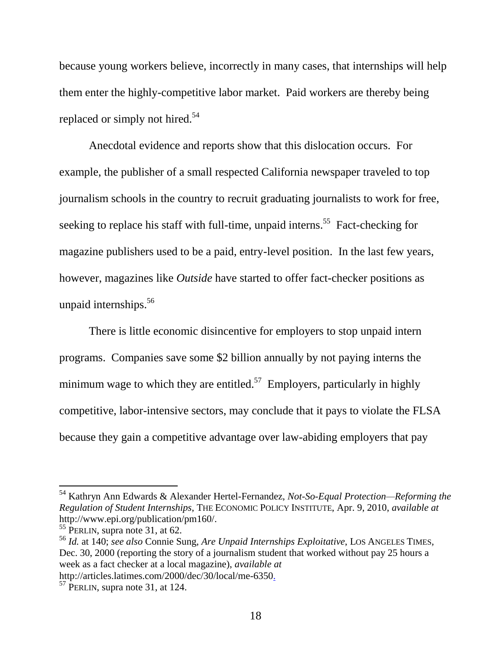because young workers believe, incorrectly in many cases, that internships will help them enter the highly-competitive labor market. Paid workers are thereby being replaced or simply not hired.<sup>54</sup>

Anecdotal evidence and reports show that this dislocation occurs. For example, the publisher of a small respected California newspaper traveled to top journalism schools in the country to recruit graduating journalists to work for free, seeking to replace his staff with full-time, unpaid interns.<sup>55</sup> Fact-checking for magazine publishers used to be a paid, entry-level position. In the last few years, however, magazines like *Outside* have started to offer fact-checker positions as unpaid internships.<sup>56</sup>

There is little economic disincentive for employers to stop unpaid intern programs. Companies save some \$2 billion annually by not paying interns the minimum wage to which they are entitled.<sup>57</sup> Employers, particularly in highly competitive, labor-intensive sectors, may conclude that it pays to violate the FLSA because they gain a competitive advantage over law-abiding employers that pay

<sup>54</sup> Kathryn Ann Edwards & Alexander Hertel-Fernandez, *Not-So-Equal Protection—Reforming the Regulation of Student Internships*, THE ECONOMIC POLICY INSTITUTE, Apr. 9, 2010, *available at*  http://www.epi.org/publication/pm160/.

 $55$  PERLIN, supra note 31, at 62.

<sup>56</sup> *Id.* at 140; *see also* Connie Sung, *Are Unpaid Internships Exploitative*, LOS ANGELES TIMES*,*  Dec. 30, 2000 (reporting the story of a journalism student that worked without pay 25 hours a week as a fact checker at a local magazine), *available at*

http://articles.latimes.com/2000/dec/30/local/me-6350.

 $57$  PERLIN, supra note 31, at 124.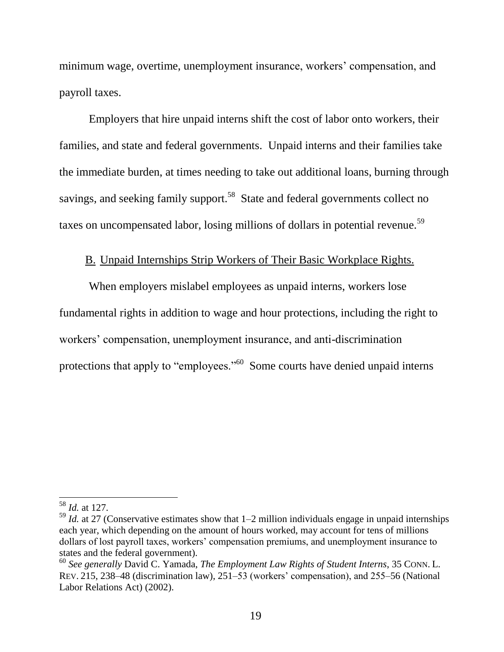minimum wage, overtime, unemployment insurance, workers' compensation, and payroll taxes.

Employers that hire unpaid interns shift the cost of labor onto workers, their families, and state and federal governments. Unpaid interns and their families take the immediate burden, at times needing to take out additional loans, burning through savings, and seeking family support.<sup>58</sup> State and federal governments collect no taxes on uncompensated labor, losing millions of dollars in potential revenue.<sup>59</sup>

#### B. Unpaid Internships Strip Workers of Their Basic Workplace Rights.

<span id="page-27-0"></span>When employers mislabel employees as unpaid interns, workers lose fundamental rights in addition to wage and hour protections, including the right to workers' compensation, unemployment insurance, and anti-discrimination protections that apply to "employees."<sup>60</sup> Some courts have denied unpaid interns

 $\overline{\phantom{a}}$ 

<sup>58</sup> *Id.* at 127.

<sup>59</sup> *Id.* at 27 (Conservative estimates show that 1–2 million individuals engage in unpaid internships each year, which depending on the amount of hours worked, may account for tens of millions dollars of lost payroll taxes, workers' compensation premiums, and unemployment insurance to states and the federal government).

<sup>60</sup> *See generally* David C. Yamada, *The Employment Law Rights of Student Interns*, 35 CONN. L. REV. 215, 238–48 (discrimination law), 251–53 (workers' compensation), and 255–56 (National Labor Relations Act) (2002).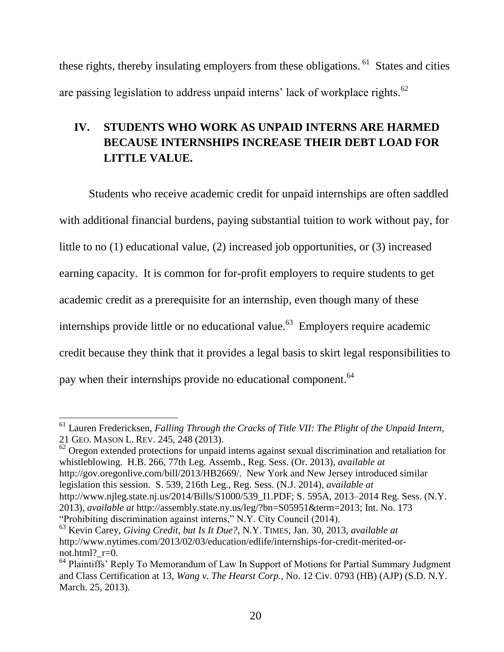these rights, thereby insulating employers from these obligations. <sup>61</sup> States and cities are passing legislation to address unpaid interns' lack of workplace rights. $^{62}$ 

## <span id="page-28-0"></span>**IV. STUDENTS WHO WORK AS UNPAID INTERNS ARE HARMED BECAUSE INTERNSHIPS INCREASE THEIR DEBT LOAD FOR LITTLE VALUE.**

Students who receive academic credit for unpaid internships are often saddled with additional financial burdens, paying substantial tuition to work without pay, for little to no (1) educational value, (2) increased job opportunities, or (3) increased earning capacity. It is common for for-profit employers to require students to get academic credit as a prerequisite for an internship, even though many of these internships provide little or no educational value.<sup>63</sup> Employers require academic credit because they think that it provides a legal basis to skirt legal responsibilities to pay when their internships provide no educational component.<sup>64</sup>

 $62$  Oregon extended protections for unpaid interns against sexual discrimination and retaliation for whistleblowing. H.B. 266, 77th Leg. Assemb., Reg. Sess. (Or. 2013), *available at*  http://gov.oregonlive.com/bill/2013/HB2669/. New York and New Jersey introduced similar legislation this session. S. 539, 216th Leg., Reg. Sess. (N.J. 2014), *available at*  http://www.njleg.state.nj.us/2014/Bills/S1000/539 I1.PDF; S. 595A, 2013–2014 Reg. Sess. (N.Y. 2013), *available at* http://assembly.state.ny.us/leg/?bn=S05951&term=2013; Int. No. 173 "Prohibiting discrimination against interns," N.Y. City Council (2014).

 $\overline{a}$ <sup>61</sup> Lauren Fredericksen, *Falling Through the Cracks of Title VII: The Plight of the Unpaid Intern*, 21 GEO. MASON L. REV. 245, 248 (2013).

<sup>63</sup> Kevin Carey, *Giving Credit, but Is It Due?*, N.Y. TIMES, Jan. 30, 2013, *available at* http://www.nytimes.com/2013/02/03/education/edlife/internships-for-credit-merited-ornot.html?  $r=0$ .

 $64$  Plaintiffs' Reply To Memorandum of Law In Support of Motions for Partial Summary Judgment and Class Certification at 13, *Wang v. The Hearst Corp.*, No. 12 Civ. 0793 (HB) (AJP) (S.D. N.Y. March. 25, 2013).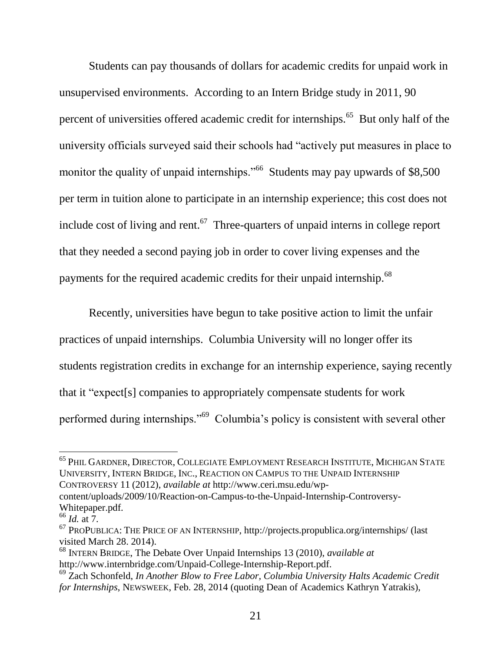Students can pay thousands of dollars for academic credits for unpaid work in unsupervised environments. According to an Intern Bridge study in 2011, 90 percent of universities offered academic credit for internships.<sup>65</sup> But only half of the university officials surveyed said their schools had "actively put measures in place to monitor the quality of unpaid internships."<sup>66</sup> Students may pay upwards of \$8,500 per term in tuition alone to participate in an internship experience; this cost does not include cost of living and rent. $67$  Three-quarters of unpaid interns in college report that they needed a second paying job in order to cover living expenses and the payments for the required academic credits for their unpaid internship.<sup>68</sup>

Recently, universities have begun to take positive action to limit the unfair practices of unpaid internships. Columbia University will no longer offer its students registration credits in exchange for an internship experience, saying recently that it "expect[s] companies to appropriately compensate students for work performed during internships."<sup>69</sup> Columbia's policy is consistent with several other

 $\overline{\phantom{a}}$ 

 $^{65}$  Phil Gardner, Director, Collegiate Employment Research Institute, Michigan State UNIVERSITY, INTERN BRIDGE, INC., REACTION ON CAMPUS TO THE UNPAID INTERNSHIP CONTROVERSY 11 (2012), *available at* http://www.ceri.msu.edu/wp-

content/uploads/2009/10/Reaction-on-Campus-to-the-Unpaid-Internship-Controversy-Whitepaper.pdf.

<sup>66</sup> *Id.* at 7.

 $67$  PROPUBLICA: THE PRICE OF AN INTERNSHIP,<http://projects.propublica.org/internships/> (last visited March 28. 2014).

<sup>68</sup> INTERN BRIDGE, The Debate Over Unpaid Internships 13 (2010), *available at* http://www.internbridge.com/Unpaid-College-Internship-Report.pdf.

<sup>69</sup> Zach Schonfeld, *In Another Blow to Free Labor, Columbia University Halts Academic Credit for Internships*, NEWSWEEK, Feb. 28, 2014 (quoting Dean of Academics Kathryn Yatrakis),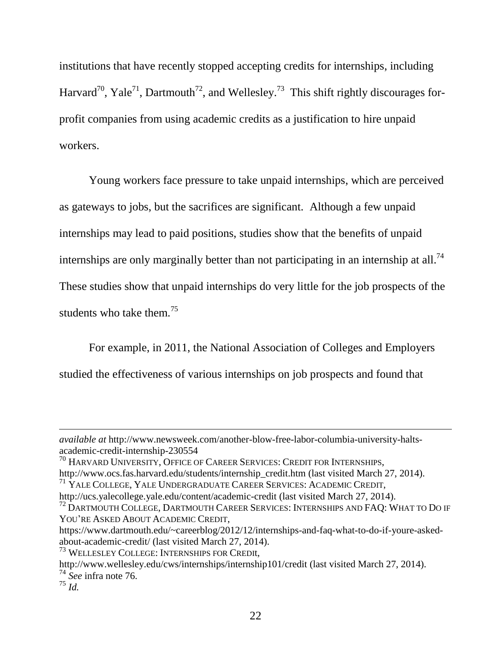institutions that have recently stopped accepting credits for internships, including Harvard<sup>70</sup>, Yale<sup>71</sup>, Dartmouth<sup>72</sup>, and Wellesley.<sup>73</sup> This shift rightly discourages forprofit companies from using academic credits as a justification to hire unpaid workers.

Young workers face pressure to take unpaid internships, which are perceived as gateways to jobs, but the sacrifices are significant. Although a few unpaid internships may lead to paid positions, studies show that the benefits of unpaid internships are only marginally better than not participating in an internship at all.<sup>74</sup> These studies show that unpaid internships do very little for the job prospects of the students who take them.<sup>75</sup>

For example, in 2011, the National Association of Colleges and Employers studied the effectiveness of various internships on job prospects and found that

https://www.dartmouth.edu/~careerblog/2012/12/internships-and-faq-what-to-do-if-youre-askedabout-academic-credit/ (last visited March 27, 2014).

*available at* http://www.newsweek.com/another-blow-free-labor-columbia-university-haltsacademic-credit-internship-230554

<sup>&</sup>lt;sup>70</sup> HARVARD UNIVERSITY, OFFICE OF CAREER SERVICES: CREDIT FOR INTERNSHIPS, http://www.ocs.fas.harvard.edu/students/internship\_credit.htm (last visited March 27, 2014).

<sup>&</sup>lt;sup>71</sup> YALE COLLEGE, YALE UNDERGRADUATE CAREER SERVICES: ACADEMIC CREDIT,

http://ucs.yalecollege.yale.edu/content/academic-credit (last visited March 27, 2014).

<sup>&</sup>lt;sup>72</sup> DARTMOUTH COLLEGE, DARTMOUTH CAREER SERVICES: INTERNSHIPS AND FAO: WHAT TO DO IF YOU'RE ASKED ABOUT ACADEMIC CREDIT,

<sup>73</sup> WELLESLEY COLLEGE: INTERNSHIPS FOR CREDIt,

http://www.wellesley.edu/cws/internships/internship101/credit (last visited March 27, 2014).

<sup>74</sup> *See* infra note 76.

<sup>75</sup> *Id.*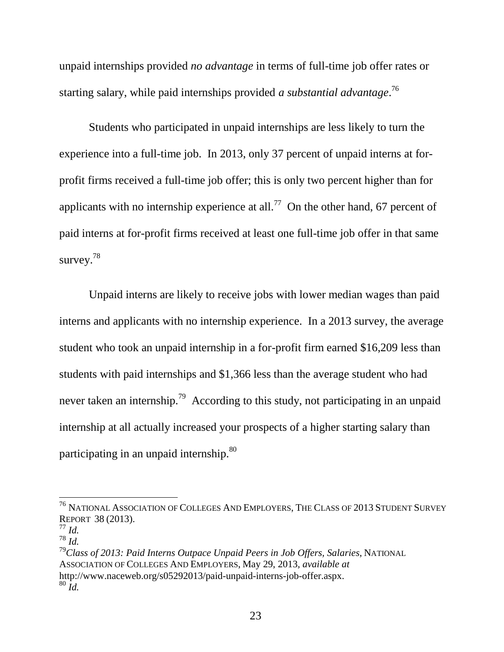unpaid internships provided *no advantage* in terms of full-time job offer rates or starting salary, while paid internships provided *a substantial advantage*. 76

Students who participated in unpaid internships are less likely to turn the experience into a full-time job. In 2013, only 37 percent of unpaid interns at forprofit firms received a full-time job offer; this is only two percent higher than for applicants with no internship experience at all.<sup>77</sup> On the other hand, 67 percent of paid interns at for-profit firms received at least one full-time job offer in that same survey.<sup>78</sup>

Unpaid interns are likely to receive jobs with lower median wages than paid interns and applicants with no internship experience. In a 2013 survey, the average student who took an unpaid internship in a for-profit firm earned \$16,209 less than students with paid internships and \$1,366 less than the average student who had never taken an internship.<sup>79</sup> According to this study, not participating in an unpaid internship at all actually increased your prospects of a higher starting salary than participating in an unpaid internship.<sup>80</sup>

 $\overline{\phantom{a}}$ 

<sup>79</sup>*Class of 2013: Paid Interns Outpace Unpaid Peers in Job Offers, Salaries*, NATIONAL ASSOCIATION OF COLLEGES AND EMPLOYERS, May 29, 2013*, available at*  http://www.naceweb.org/s05292013/paid-unpaid-interns-job-offer.aspx.  $80 \dot{Id}$ .

<sup>76</sup> NATIONAL ASSOCIATION OF COLLEGES AND EMPLOYERS, THE CLASS OF 2013 STUDENT SURVEY REPORT 38 (2013).

<sup>77</sup> *Id.*

<sup>78</sup> *Id.*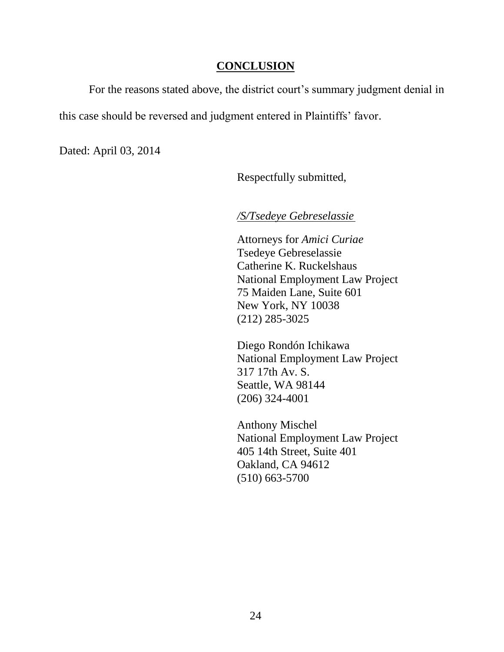#### **CONCLUSION**

<span id="page-32-0"></span>For the reasons stated above, the district court's summary judgment denial in this case should be reversed and judgment entered in Plaintiffs' favor.

Dated: April 03, 2014

Respectfully submitted,

*/S/Tsedeye Gebreselassie*

Attorneys for *Amici Curiae* Tsedeye Gebreselassie Catherine K. Ruckelshaus National Employment Law Project 75 Maiden Lane, Suite 601 New York, NY 10038 (212) 285-3025

Diego Rondón Ichikawa National Employment Law Project 317 17th Av. S. Seattle, WA 98144 (206) 324-4001

Anthony Mischel National Employment Law Project 405 14th Street, Suite 401 Oakland, CA 94612 (510) 663-5700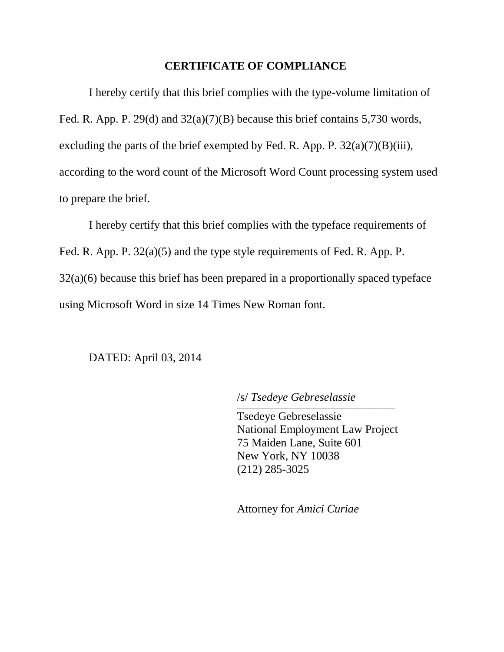#### **CERTIFICATE OF COMPLIANCE**

I hereby certify that this brief complies with the type-volume limitation of Fed. R. App. P. 29(d) and 32(a)(7)(B) because this brief contains 5,730 words, excluding the parts of the brief exempted by Fed. R. App. P.  $32(a)(7)(B)(iii)$ , according to the word count of the Microsoft Word Count processing system used to prepare the brief.

I hereby certify that this brief complies with the typeface requirements of Fed. R. App. P. 32(a)(5) and the type style requirements of Fed. R. App. P. 32(a)(6) because this brief has been prepared in a proportionally spaced typeface using Microsoft Word in size 14 Times New Roman font.

#### DATED: April 03, 2014

/s/ *Tsedeye Gebreselassie*

Tsedeye Gebreselassie National Employment Law Project 75 Maiden Lane, Suite 601 New York, NY 10038 (212) 285-3025

 $\mathcal{L}_\text{max}$  and  $\mathcal{L}_\text{max}$  and  $\mathcal{L}_\text{max}$  and  $\mathcal{L}_\text{max}$  and  $\mathcal{L}_\text{max}$  and  $\mathcal{L}_\text{max}$ 

Attorney for *Amici Curiae*